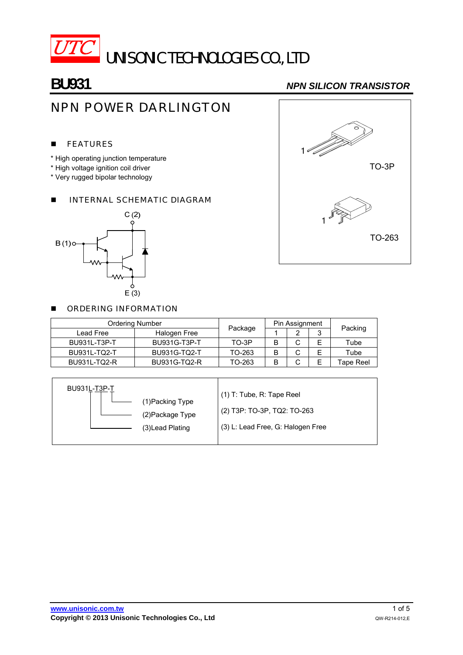

**BU931** *NPN SILICON TRANSISTOR*

# NPN POWER DARLINGTON

#### **FEATURES**

- \* High operating junction temperature
- \* High voltage ignition coil driver
- \* Very rugged bipolar technology

### **INTERNAL SCHEMATIC DIAGRAM**





#### **DECISION INFORMATION**

| <b>Ordering Number</b> |              |         | Pin Assignment |   |   |           |  |
|------------------------|--------------|---------|----------------|---|---|-----------|--|
| Lead Free              | Halogen Free | Package |                |   | ັ | Packing   |  |
| BU931L-T3P-T           | BU931G-T3P-T | TO-3P   | В              |   | Е | Tube      |  |
| BU931L-TQ2-T           | BU931G-TQ2-T | TO-263  | В              | ັ | E | Tube      |  |
| BU931L-TQ2-R           | BU931G-TQ2-R | TO-263  | B              |   | E | Tape Reel |  |

| BU931L-T3P-T<br>(1)Packing Type<br>(2)Package Type<br>(3) Lead Plating | $(1)$ T: Tube, R: Tape Reel<br>(2) T3P: TO-3P, TQ2: TO-263<br>(3) L: Lead Free, G: Halogen Free |
|------------------------------------------------------------------------|-------------------------------------------------------------------------------------------------|
|------------------------------------------------------------------------|-------------------------------------------------------------------------------------------------|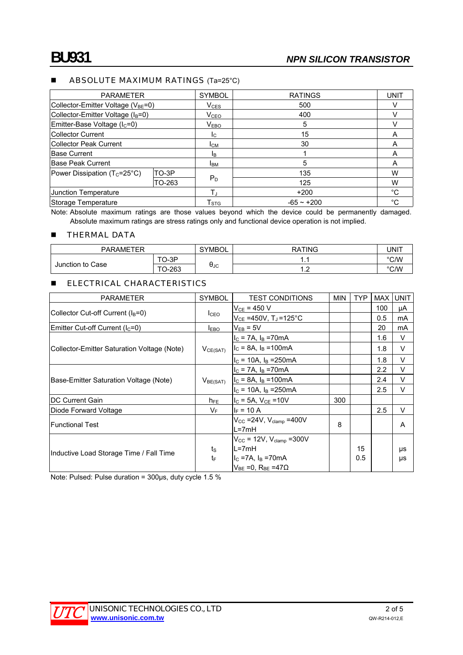#### **ABSOLUTE MAXIMUM RATINGS** (Ta=25°C)

| <b>PARAMETER</b>                               |        | <b>SYMBOL</b>               | <b>RATINGS</b> | <b>UNIT</b> |
|------------------------------------------------|--------|-----------------------------|----------------|-------------|
| Collector-Emitter Voltage (V <sub>BE</sub> =0) |        | $V_{CES}$                   | 500            |             |
| Collector-Emitter Voltage (I <sub>B</sub> =0)  |        | V <sub>CEO</sub>            | 400            |             |
| Emitter-Base Voltage (I <sub>C</sub> =0)       |        | $\mathsf{V}_{\mathsf{EBO}}$ | 5              |             |
| Collector Current                              |        | Ic.                         | 15             | A           |
| Collector Peak Current                         |        | Iсм                         | 30             | A           |
| <b>Base Current</b>                            |        | ΙB.                         |                | A           |
| Base Peak Current                              |        | <b>I</b> BM                 | 5              | A           |
| Power Dissipation ( $T_c = 25^{\circ}C$ )      | TO-3P  | $P_D$                       | 135            | w           |
|                                                | TO-263 |                             | 125            | w           |
| Junction Temperature                           |        | Т.,                         | $+200$         | $^{\circ}C$ |
| Storage Temperature                            |        | ${\sf T}_{\text{STG}}$      | $-65 - +200$   | °C          |

Note: Absolute maximum ratings are those values beyond which the device could be permanently damaged. Absolute maximum ratings are stress ratings only and functional device operation is not implied.

#### **THERMAL DATA**

| <b>PARAMETER</b> |                  | SYMBOL      | <b>RATING</b>    | UNIT |  |
|------------------|------------------|-------------|------------------|------|--|
| Junction to Case | $O-3P$<br>$\tau$ | <b>A</b> 1C | . .              | °C/W |  |
|                  | $O-263$<br>᠇⌒    |             | $\cdot$ . $\sim$ | °C/W |  |

#### **ELECTRICAL CHARACTERISTICS**

| <b>PARAMETER</b>                            | <b>SYMBOL</b>        | <b>TEST CONDITIONS</b>                    | <b>MIN</b> | <b>TYP</b> | <b>MAX</b> | <b>UNIT</b> |
|---------------------------------------------|----------------------|-------------------------------------------|------------|------------|------------|-------------|
|                                             | I <sub>CEO</sub>     | $V_{CE}$ = 450 V                          |            |            | 100        | μA          |
| Collector Cut-off Current $(I_B=0)$         |                      | $\rm V_{CE}$ =450V, T」=125°C              |            |            | 0.5        | mA          |
| Emitter Cut-off Current $(lC=0)$            | $I_{EBO}$            | $V_{EB} = 5V$                             |            |            | 20         | mA          |
| Collector-Emitter Saturation Voltage (Note) | $V_{CE(SAT)}$        | $I_C$ = 7A, $I_B$ =70mA                   |            |            | 1.6        | V           |
|                                             |                      | $I_C = 8A$ , $I_B = 100mA$                |            |            | 1.8        | V           |
|                                             |                      | $I_C = 10A$ , $I_B = 250mA$               |            |            | 1.8        | V           |
|                                             | V <sub>BE(SAT)</sub> | $I_C$ = 7A, $I_B$ =70mA                   |            |            | 2.2        | V           |
| Base-Emitter Saturation Voltage (Note)      |                      | $I_C = 8A$ , $I_B = 100mA$                |            |            | 2.4        | $\vee$      |
|                                             |                      | $I_C = 10A$ , $I_B = 250mA$               |            |            | 2.5        | $\vee$      |
| <b>DC Current Gain</b>                      | $h_{FE}$             | $I_C = 5A$ , $V_{CE} = 10V$               | 300        |            |            |             |
| Diode Forward Voltage                       | $V_F$                | $I_F = 10 A$                              |            |            | 2.5        | $\vee$      |
| lFunctional Test                            |                      | $V_{CC}$ =24V, $V_{clamp}$ =400V<br>L=7mH | 8          |            |            | A           |
|                                             |                      | $V_{CC}$ = 12V, $V_{clamp}$ =300V         |            |            |            |             |
| Inductive Load Storage Time / Fall Time     | $t_{\rm S}$          | L=7mH                                     |            | 15         |            | μs          |
|                                             | tF                   | $IC$ =7A, $IB$ =70mA                      |            | 0.5        |            | μs          |
|                                             |                      | $V_{BE} = 0$ , $R_{BE} = 47\Omega$        |            |            |            |             |

Note: Pulsed: Pulse duration = 300μs, duty cycle 1.5 %

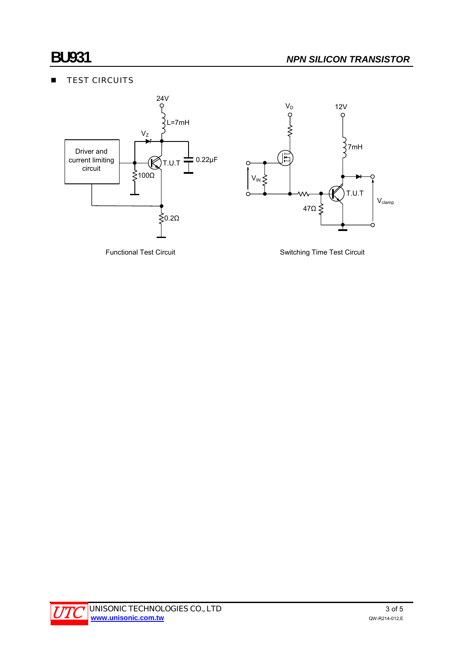## **TEST CIRCUITS**



Functional Test Circuit **Switching Time Test Circuit** Switching Time Test Circuit

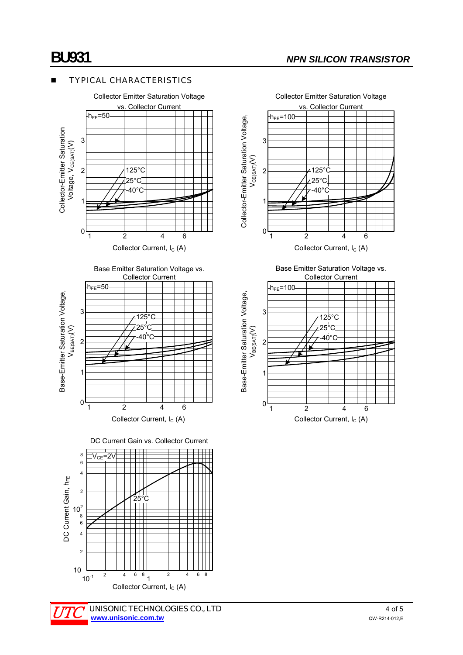### TYPICAL CHARACTERISTICS







Collector Current, I<sub>C</sub> (A)

DC Current Gain vs. Collector Current







Collector Current, I<sub>C</sub> (A)